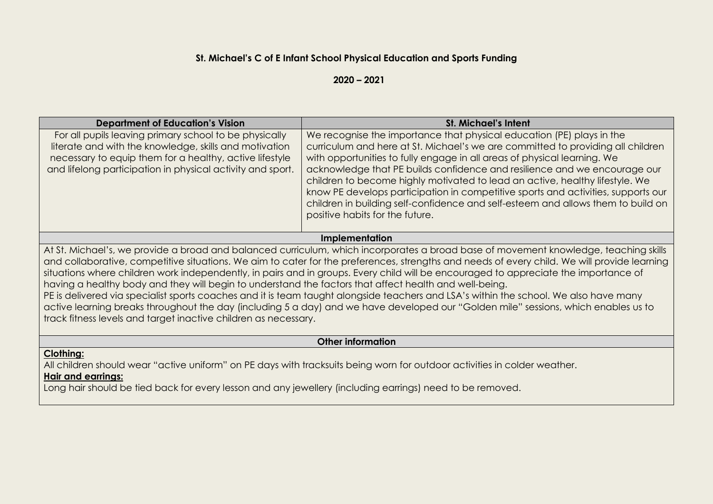### **St. Michael's C of E Infant School Physical Education and Sports Funding**

**2020 – 2021**

| <b>Department of Education's Vision</b>                                                                                                                                                                                                                                           | <b>St. Michael's Intent</b>                                                                                                                                                                                                                                                                                                                                                                                                                                                                                                                                                |  |  |  |  |  |
|-----------------------------------------------------------------------------------------------------------------------------------------------------------------------------------------------------------------------------------------------------------------------------------|----------------------------------------------------------------------------------------------------------------------------------------------------------------------------------------------------------------------------------------------------------------------------------------------------------------------------------------------------------------------------------------------------------------------------------------------------------------------------------------------------------------------------------------------------------------------------|--|--|--|--|--|
| For all pupils leaving primary school to be physically<br>literate and with the knowledge, skills and motivation<br>necessary to equip them for a healthy, active lifestyle<br>and lifelong participation in physical activity and sport.                                         | We recognise the importance that physical education (PE) plays in the<br>curriculum and here at St. Michael's we are committed to providing all children<br>with opportunities to fully engage in all areas of physical learning. We<br>acknowledge that PE builds confidence and resilience and we encourage our<br>children to become highly motivated to lead an active, healthy lifestyle. We<br>know PE develops participation in competitive sports and activities, supports our<br>children in building self-confidence and self-esteem and allows them to build on |  |  |  |  |  |
|                                                                                                                                                                                                                                                                                   | positive habits for the future.                                                                                                                                                                                                                                                                                                                                                                                                                                                                                                                                            |  |  |  |  |  |
| <b>Implementation</b>                                                                                                                                                                                                                                                             |                                                                                                                                                                                                                                                                                                                                                                                                                                                                                                                                                                            |  |  |  |  |  |
| At St. Michael's, we provide a broad and balanced curriculum, which incorporates a broad base of movement knowledge, teaching skills<br>and collaborative competitive situations. We aim to cater for the preferences strenaths and peeds of even child. We will provide learning |                                                                                                                                                                                                                                                                                                                                                                                                                                                                                                                                                                            |  |  |  |  |  |

cater for the preferences, strengths and needs of  $\epsilon$ situations where children work independently, in pairs and in groups. Every child will be encouraged to appreciate the importance of having a healthy body and they will begin to understand the factors that affect health and well-being.

PE is delivered via specialist sports coaches and it is team taught alongside teachers and LSA's within the school. We also have many active learning breaks throughout the day (including 5 a day) and we have developed our "Golden mile" sessions, which enables us to track fitness levels and target inactive children as necessary.

**Other information**

#### **Clothing:**

All children should wear "active uniform" on PE days with tracksuits being worn for outdoor activities in colder weather.

#### **Hair and earrings:**

Long hair should be tied back for every lesson and any jewellery (including earrings) need to be removed.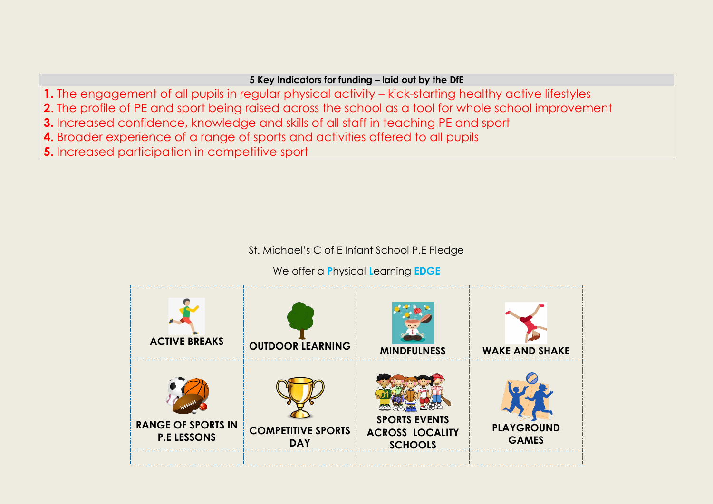## **5 Key Indicators for funding – laid out by the DfE**

- **1.** The engagement of all pupils in regular physical activity kick-starting healthy active lifestyles
- **2**. The profile of PE and sport being raised across the school as a tool for whole school improvement
- **3.** Increased confidence, knowledge and skills of all staff in teaching PE and sport
- **4.** Broader experience of a range of sports and activities offered to all pupils
- **5.** Increased participation in competitive sport

# St. Michael's C of E Infant School P.E Pledge

# We offer a **P**hysical **L**earning **EDGE**

| <b>ACTIVE BREAKS</b>                            | <b>OUTDOOR LEARNING</b>                 | <b>MINDFULNESS</b>                                               | <b>WAKE AND SHAKE</b>             |  |
|-------------------------------------------------|-----------------------------------------|------------------------------------------------------------------|-----------------------------------|--|
| <b>RANGE OF SPORTS IN</b><br><b>P.E LESSONS</b> | <b>COMPETITIVE SPORTS</b><br><b>DAY</b> | <b>SPORTS EVENTS</b><br><b>ACROSS LOCALITY</b><br><b>SCHOOLS</b> | <b>PLAYGROUND</b><br><b>GAMES</b> |  |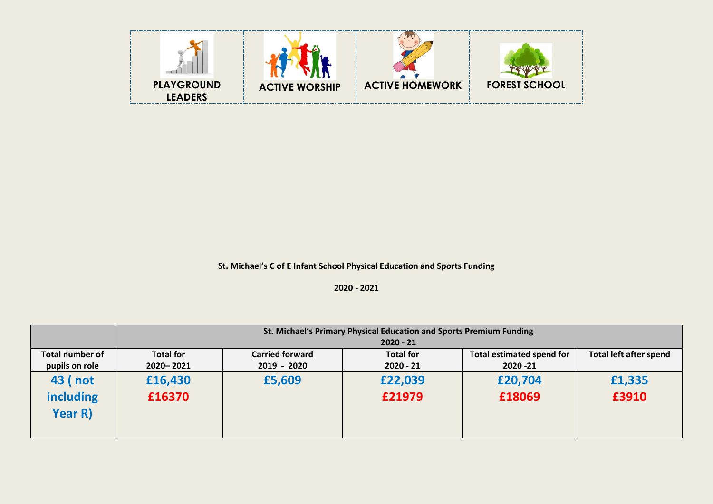

**St. Michael's C of E Infant School Physical Education and Sports Funding** 

**2020 - 2021**

|                                        | St. Michael's Primary Physical Education and Sports Premium Funding<br>$2020 - 21$ |                                       |                                 |                                               |                               |  |  |  |
|----------------------------------------|------------------------------------------------------------------------------------|---------------------------------------|---------------------------------|-----------------------------------------------|-------------------------------|--|--|--|
| Total number of<br>pupils on role      | <b>Total for</b><br>2020 - 2021                                                    | <b>Carried forward</b><br>2019 - 2020 | <b>Total for</b><br>$2020 - 21$ | <b>Total estimated spend for</b><br>2020 - 21 | <b>Total left after spend</b> |  |  |  |
| 43 (not<br><b>including</b><br>Year R) | £16,430<br>£16370                                                                  | £5,609                                | £22,039<br>£21979               | £20,704<br>£18069                             | £1,335<br>£3910               |  |  |  |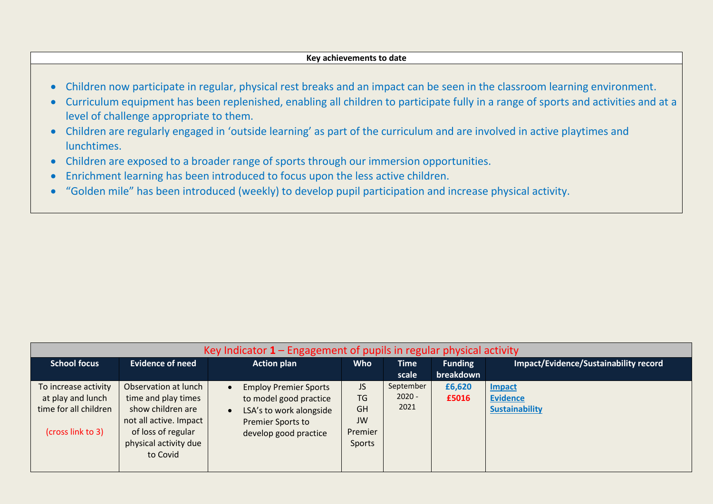#### **Key achievements to date**

- Children now participate in regular, physical rest breaks and an impact can be seen in the classroom learning environment.
- Curriculum equipment has been replenished, enabling all children to participate fully in a range of sports and activities and at a level of challenge appropriate to them.
- Children are regularly engaged in 'outside learning' as part of the curriculum and are involved in active playtimes and lunchtimes.
- Children are exposed to a broader range of sports through our immersion opportunities.
- Enrichment learning has been introduced to focus upon the less active children.
- "Golden mile" has been introduced (weekly) to develop pupil participation and increase physical activity.

| Key Indicator $1$ – Engagement of pupils in regular physical activity                   |                                                                                                                                                       |                                                                                                                                                           |                                                                       |                               |                             |                                                           |
|-----------------------------------------------------------------------------------------|-------------------------------------------------------------------------------------------------------------------------------------------------------|-----------------------------------------------------------------------------------------------------------------------------------------------------------|-----------------------------------------------------------------------|-------------------------------|-----------------------------|-----------------------------------------------------------|
| <b>School focus</b>                                                                     | <b>Evidence of need</b>                                                                                                                               | <b>Action plan</b>                                                                                                                                        | <b>Who</b>                                                            | <b>Time</b><br>scale          | <b>Funding</b><br>breakdown | <b>Impact/Evidence/Sustainability record</b>              |
| To increase activity<br>at play and lunch<br>time for all children<br>(cross link to 3) | Observation at lunch<br>time and play times<br>show children are<br>not all active. Impact<br>of loss of regular<br>physical activity due<br>to Covid | <b>Employ Premier Sports</b><br>$\bullet$<br>to model good practice<br>LSA's to work alongside<br>$\bullet$<br>Premier Sports to<br>develop good practice | <b>JS</b><br><b>TG</b><br><b>GH</b><br>JW<br>Premier<br><b>Sports</b> | September<br>$2020 -$<br>2021 | £6,620<br>£5016             | <b>Impact</b><br><b>Evidence</b><br><b>Sustainability</b> |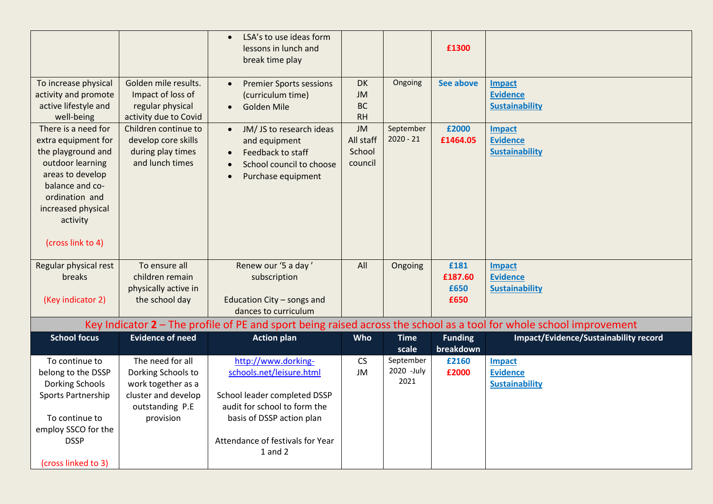|                                     |                                           | LSA's to use ideas form<br>$\bullet$<br>lessons in lunch and<br>break time play |                        |                     | £1300          |                                                                                                                       |
|-------------------------------------|-------------------------------------------|---------------------------------------------------------------------------------|------------------------|---------------------|----------------|-----------------------------------------------------------------------------------------------------------------------|
| To increase physical                | Golden mile results.                      | <b>Premier Sports sessions</b><br>$\bullet$                                     | <b>DK</b>              | Ongoing             | See above      | <b>Impact</b>                                                                                                         |
| activity and promote                | Impact of loss of                         | (curriculum time)                                                               | <b>JM</b>              |                     |                | <b>Evidence</b>                                                                                                       |
| active lifestyle and<br>well-being  | regular physical<br>activity due to Covid | <b>Golden Mile</b><br>$\bullet$                                                 | <b>BC</b><br><b>RH</b> |                     |                | <b>Sustainability</b>                                                                                                 |
| There is a need for                 | Children continue to                      | JM/JS to research ideas<br>$\bullet$                                            | <b>JM</b>              | September           | £2000          | <b>Impact</b>                                                                                                         |
| extra equipment for                 | develop core skills                       | and equipment                                                                   | All staff              | $2020 - 21$         | £1464.05       | <b>Evidence</b>                                                                                                       |
| the playground and                  | during play times                         | Feedback to staff<br>$\bullet$                                                  | School                 |                     |                | <b>Sustainability</b>                                                                                                 |
| outdoor learning                    | and lunch times                           | School council to choose                                                        | council                |                     |                |                                                                                                                       |
| areas to develop<br>balance and co- |                                           | Purchase equipment<br>$\bullet$                                                 |                        |                     |                |                                                                                                                       |
| ordination and                      |                                           |                                                                                 |                        |                     |                |                                                                                                                       |
| increased physical                  |                                           |                                                                                 |                        |                     |                |                                                                                                                       |
| activity                            |                                           |                                                                                 |                        |                     |                |                                                                                                                       |
|                                     |                                           |                                                                                 |                        |                     |                |                                                                                                                       |
| (cross link to 4)                   |                                           |                                                                                 |                        |                     |                |                                                                                                                       |
| Regular physical rest               | To ensure all                             | Renew our '5 a day'                                                             | All                    | Ongoing             | £181           | <b>Impact</b>                                                                                                         |
| breaks                              | children remain                           | subscription                                                                    |                        |                     | £187.60        | <b>Evidence</b>                                                                                                       |
|                                     | physically active in                      |                                                                                 |                        |                     | £650           | <b>Sustainability</b>                                                                                                 |
| (Key indicator 2)                   | the school day                            | Education City - songs and<br>dances to curriculum                              |                        |                     | £650           |                                                                                                                       |
|                                     |                                           |                                                                                 |                        |                     |                | Key Indicator $2$ – The profile of PE and sport being raised across the school as a tool for whole school improvement |
| <b>School focus</b>                 | <b>Evidence of need</b>                   | <b>Action plan</b>                                                              | Who                    | <b>Time</b>         | <b>Funding</b> | Impact/Evidence/Sustainability record                                                                                 |
|                                     |                                           |                                                                                 |                        | scale               | breakdown      |                                                                                                                       |
| To continue to                      | The need for all                          | http://www.dorking-                                                             | <b>CS</b>              | September           | £2160          | <b>Impact</b>                                                                                                         |
| belong to the DSSP                  | Dorking Schools to                        | schools.net/leisure.html                                                        | <b>JM</b>              | 2020 - July<br>2021 | £2000          | <b>Evidence</b>                                                                                                       |
| <b>Dorking Schools</b>              | work together as a                        |                                                                                 |                        |                     |                | <b>Sustainability</b>                                                                                                 |
| Sports Partnership                  | cluster and develop                       | School leader completed DSSP                                                    |                        |                     |                |                                                                                                                       |
| To continue to                      | outstanding P.E<br>provision              | audit for school to form the                                                    |                        |                     |                |                                                                                                                       |
| employ SSCO for the                 |                                           | basis of DSSP action plan                                                       |                        |                     |                |                                                                                                                       |
| <b>DSSP</b>                         |                                           | Attendance of festivals for Year                                                |                        |                     |                |                                                                                                                       |
|                                     |                                           | $1$ and $2$                                                                     |                        |                     |                |                                                                                                                       |
| (cross linked to 3)                 |                                           |                                                                                 |                        |                     |                |                                                                                                                       |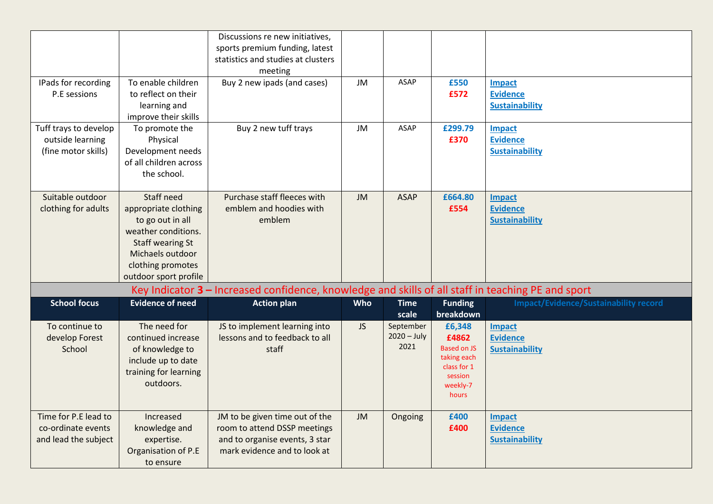| Discussions re new initiatives,                                                                                        |                                              |
|------------------------------------------------------------------------------------------------------------------------|----------------------------------------------|
| sports premium funding, latest                                                                                         |                                              |
| statistics and studies at clusters                                                                                     |                                              |
| meeting                                                                                                                |                                              |
| To enable children<br>Buy 2 new ipads (and cases)<br>JM<br><b>ASAP</b><br>£550<br>IPads for recording<br><b>Impact</b> |                                              |
| <b>Evidence</b><br>to reflect on their<br>£572<br>P.E sessions                                                         |                                              |
| <b>Sustainability</b><br>learning and                                                                                  |                                              |
| improve their skills                                                                                                   |                                              |
| <b>ASAP</b><br>Tuff trays to develop<br>Buy 2 new tuff trays<br><b>JM</b><br>£299.79<br>To promote the<br>Impact       |                                              |
| outside learning<br>Physical<br>£370<br><b>Evidence</b>                                                                |                                              |
| (fine motor skills)<br>Development needs<br><b>Sustainability</b>                                                      |                                              |
| of all children across                                                                                                 |                                              |
| the school.                                                                                                            |                                              |
|                                                                                                                        |                                              |
| <b>Staff need</b><br>Purchase staff fleeces with<br>Suitable outdoor<br>JM<br><b>ASAP</b><br>£664.80<br><b>Impact</b>  |                                              |
| emblem and hoodies with<br><b>Evidence</b><br>clothing for adults<br>appropriate clothing<br>£554                      |                                              |
| to go out in all<br>emblem<br><b>Sustainability</b>                                                                    |                                              |
| weather conditions.                                                                                                    |                                              |
| <b>Staff wearing St</b>                                                                                                |                                              |
| Michaels outdoor                                                                                                       |                                              |
| clothing promotes                                                                                                      |                                              |
| outdoor sport profile                                                                                                  |                                              |
| Key Indicator 3 - Increased confidence, knowledge and skills of all staff in teaching PE and sport                     |                                              |
| <b>School focus</b><br><b>Evidence of need</b><br><b>Action plan</b><br>Who<br><b>Funding</b><br><b>Time</b>           | <b>Impact/Evidence/Sustainability record</b> |
| breakdown<br>scale                                                                                                     |                                              |
| September<br>The need for<br>JS to implement learning into<br><b>JS</b><br>To continue to<br>£6,348<br><b>Impact</b>   |                                              |
| $2020 - July$<br>lessons and to feedback to all<br>£4862<br><b>Evidence</b><br>develop Forest<br>continued increase    |                                              |
| 2021<br><b>Based on JS</b><br>School<br><b>Sustainability</b><br>of knowledge to<br>staff                              |                                              |
| taking each<br>include up to date<br>class for 1                                                                       |                                              |
| training for learning<br>session                                                                                       |                                              |
| outdoors.<br>weekly-7                                                                                                  |                                              |
| hours                                                                                                                  |                                              |
| Time for P.E lead to<br>Increased<br>JM to be given time out of the<br><b>JM</b><br>£400<br>Ongoing<br><b>Impact</b>   |                                              |
| knowledge and<br>room to attend DSSP meetings<br>£400<br><b>Evidence</b><br>co-ordinate events                         |                                              |
| and to organise events, 3 star<br><b>Sustainability</b><br>and lead the subject<br>expertise.                          |                                              |
|                                                                                                                        |                                              |
| Organisation of P.E<br>mark evidence and to look at                                                                    |                                              |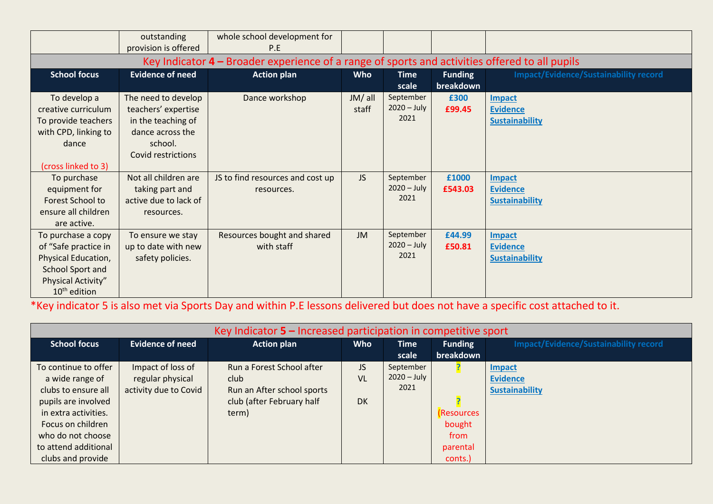|                                                                                                                                         | outstanding<br>provision is offered                                                                                   | whole school development for<br>P.E            |                  |                                    |                             |                                                    |  |
|-----------------------------------------------------------------------------------------------------------------------------------------|-----------------------------------------------------------------------------------------------------------------------|------------------------------------------------|------------------|------------------------------------|-----------------------------|----------------------------------------------------|--|
| Key Indicator $4$ – Broader experience of a range of sports and activities offered to all pupils                                        |                                                                                                                       |                                                |                  |                                    |                             |                                                    |  |
| <b>School focus</b>                                                                                                                     | <b>Evidence of need</b>                                                                                               | <b>Action plan</b>                             | <b>Who</b>       | <b>Time</b><br>scale               | <b>Funding</b><br>breakdown | <b>Impact/Evidence/Sustainability record</b>       |  |
| To develop a<br>creative curriculum<br>To provide teachers<br>with CPD, linking to<br>dance<br>(cross linked to 3)                      | The need to develop<br>teachers' expertise<br>in the teaching of<br>dance across the<br>school.<br>Covid restrictions | Dance workshop                                 | JM/ all<br>staff | September<br>$2020 - July$<br>2021 | £300<br>£99.45              | Impact<br><b>Evidence</b><br><b>Sustainability</b> |  |
| To purchase<br>equipment for<br>Forest School to<br>ensure all children<br>are active.                                                  | Not all children are<br>taking part and<br>active due to lack of<br>resources.                                        | JS to find resources and cost up<br>resources. | JS               | September<br>$2020 - July$<br>2021 | £1000<br>£543.03            | Impact<br><b>Evidence</b><br><b>Sustainability</b> |  |
| To purchase a copy<br>of "Safe practice in<br>Physical Education,<br>School Sport and<br>Physical Activity"<br>10 <sup>th</sup> edition | To ensure we stay<br>up to date with new<br>safety policies.                                                          | Resources bought and shared<br>with staff      | <b>JM</b>        | September<br>$2020 - July$<br>2021 | £44.99<br>£50.81            | Impact<br><b>Evidence</b><br><b>Sustainability</b> |  |

\*Key indicator 5 is also met via Sports Day and within P.E lessons delivered but does not have a specific cost attached to it.

| Key Indicator $5$ – Increased participation in competitive sport |                         |                            |            |               |                   |                                              |
|------------------------------------------------------------------|-------------------------|----------------------------|------------|---------------|-------------------|----------------------------------------------|
| <b>School focus</b>                                              | <b>Evidence of need</b> | <b>Action plan</b>         | <b>Who</b> | <b>Time</b>   | <b>Funding</b>    | <b>Impact/Evidence/Sustainability record</b> |
|                                                                  |                         |                            |            | scale         | breakdown         |                                              |
| To continue to offer                                             | Impact of loss of       | Run a Forest School after  | <b>JS</b>  | September     |                   | <b>Impact</b>                                |
| a wide range of                                                  | regular physical        | club                       | VL         | $2020 - July$ |                   | <b>Evidence</b>                              |
| clubs to ensure all                                              | activity due to Covid   | Run an After school sports |            | 2021          |                   | <b>Sustainability</b>                        |
| pupils are involved                                              |                         | club (after February half  | <b>DK</b>  |               |                   |                                              |
| in extra activities.                                             |                         | term)                      |            |               | <b>(Resources</b> |                                              |
| Focus on children                                                |                         |                            |            |               | bought            |                                              |
| who do not choose                                                |                         |                            |            |               | from              |                                              |
| to attend additional                                             |                         |                            |            |               | parental          |                                              |
| clubs and provide                                                |                         |                            |            |               | conts.)           |                                              |